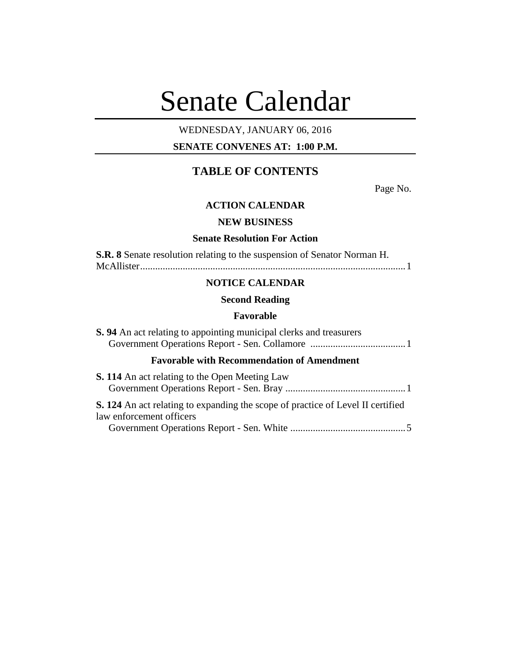# Senate Calendar

# WEDNESDAY, JANUARY 06, 2016

# **SENATE CONVENES AT: 1:00 P.M.**

# **TABLE OF CONTENTS**

Page No.

# **ACTION CALENDAR**

# **NEW BUSINESS**

# **Senate Resolution For Action**

| S.R. 8 Senate resolution relating to the suspension of Senator Norman H. |  |
|--------------------------------------------------------------------------|--|
|                                                                          |  |

# **NOTICE CALENDAR**

# **Second Reading**

#### **Favorable**

| <b>S.</b> 94 An act relating to appointing municipal clerks and treasurers                                         |
|--------------------------------------------------------------------------------------------------------------------|
| <b>Favorable with Recommendation of Amendment</b>                                                                  |
| <b>S. 114</b> An act relating to the Open Meeting Law                                                              |
| <b>S. 124</b> An act relating to expanding the scope of practice of Level II certified<br>law enforcement officers |
|                                                                                                                    |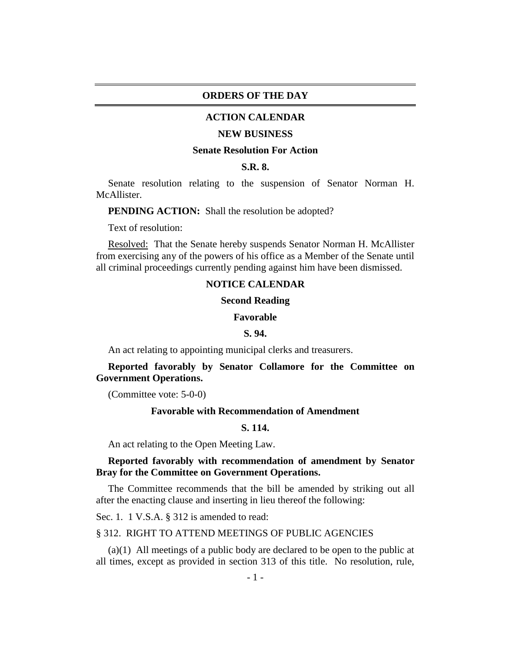# **ORDERS OF THE DAY**

#### **ACTION CALENDAR**

#### **NEW BUSINESS**

#### **Senate Resolution For Action**

#### **S.R. 8.**

Senate resolution relating to the suspension of Senator Norman H. McAllister.

**PENDING ACTION:** Shall the resolution be adopted?

Text of resolution:

Resolved: That the Senate hereby suspends Senator Norman H. McAllister from exercising any of the powers of his office as a Member of the Senate until all criminal proceedings currently pending against him have been dismissed.

#### **NOTICE CALENDAR**

#### **Second Reading**

#### **Favorable**

# **S. 94.**

An act relating to appointing municipal clerks and treasurers.

# **Reported favorably by Senator Collamore for the Committee on Government Operations.**

(Committee vote: 5-0-0)

#### **Favorable with Recommendation of Amendment**

# **S. 114.**

An act relating to the Open Meeting Law.

# **Reported favorably with recommendation of amendment by Senator Bray for the Committee on Government Operations.**

The Committee recommends that the bill be amended by striking out all after the enacting clause and inserting in lieu thereof the following:

Sec. 1. 1 V.S.A. § 312 is amended to read:

#### § 312. RIGHT TO ATTEND MEETINGS OF PUBLIC AGENCIES

(a)(1) All meetings of a public body are declared to be open to the public at all times, except as provided in section 313 of this title. No resolution, rule,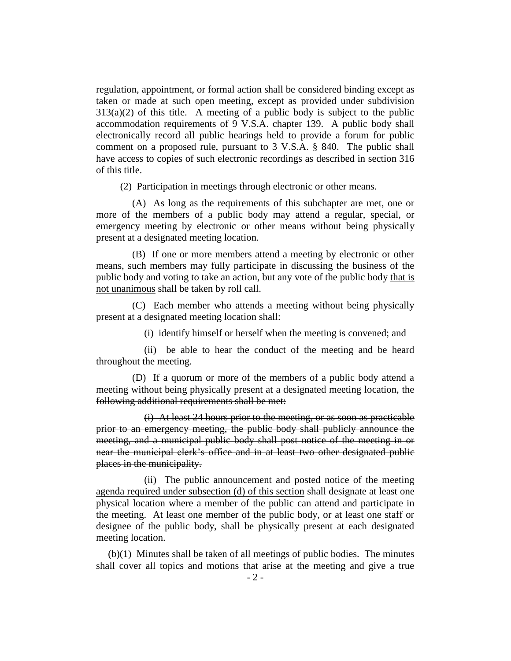regulation, appointment, or formal action shall be considered binding except as taken or made at such open meeting, except as provided under subdivision  $313(a)(2)$  of this title. A meeting of a public body is subject to the public accommodation requirements of 9 V.S.A. chapter 139. A public body shall electronically record all public hearings held to provide a forum for public comment on a proposed rule, pursuant to 3 V.S.A. § 840. The public shall have access to copies of such electronic recordings as described in section 316 of this title.

(2) Participation in meetings through electronic or other means.

(A) As long as the requirements of this subchapter are met, one or more of the members of a public body may attend a regular, special, or emergency meeting by electronic or other means without being physically present at a designated meeting location.

(B) If one or more members attend a meeting by electronic or other means, such members may fully participate in discussing the business of the public body and voting to take an action, but any vote of the public body that is not unanimous shall be taken by roll call.

(C) Each member who attends a meeting without being physically present at a designated meeting location shall:

(i) identify himself or herself when the meeting is convened; and

(ii) be able to hear the conduct of the meeting and be heard throughout the meeting.

(D) If a quorum or more of the members of a public body attend a meeting without being physically present at a designated meeting location, the following additional requirements shall be met:

(i) At least 24 hours prior to the meeting, or as soon as practicable prior to an emergency meeting, the public body shall publicly announce the meeting, and a municipal public body shall post notice of the meeting in or near the municipal clerk's office and in at least two other designated public places in the municipality.

(ii) The public announcement and posted notice of the meeting agenda required under subsection (d) of this section shall designate at least one physical location where a member of the public can attend and participate in the meeting. At least one member of the public body, or at least one staff or designee of the public body, shall be physically present at each designated meeting location.

(b)(1) Minutes shall be taken of all meetings of public bodies. The minutes shall cover all topics and motions that arise at the meeting and give a true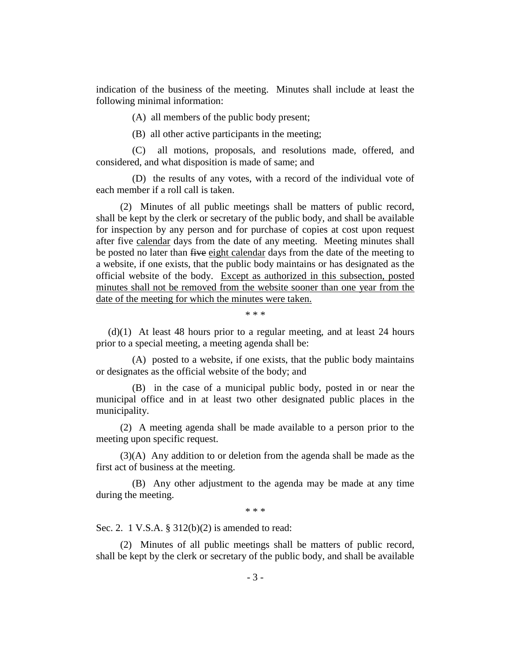indication of the business of the meeting. Minutes shall include at least the following minimal information:

(A) all members of the public body present;

(B) all other active participants in the meeting;

(C) all motions, proposals, and resolutions made, offered, and considered, and what disposition is made of same; and

(D) the results of any votes, with a record of the individual vote of each member if a roll call is taken.

(2) Minutes of all public meetings shall be matters of public record, shall be kept by the clerk or secretary of the public body, and shall be available for inspection by any person and for purchase of copies at cost upon request after five calendar days from the date of any meeting. Meeting minutes shall be posted no later than five eight calendar days from the date of the meeting to a website, if one exists, that the public body maintains or has designated as the official website of the body. Except as authorized in this subsection, posted minutes shall not be removed from the website sooner than one year from the date of the meeting for which the minutes were taken.

\* \* \*

(d)(1) At least 48 hours prior to a regular meeting, and at least 24 hours prior to a special meeting, a meeting agenda shall be:

(A) posted to a website, if one exists, that the public body maintains or designates as the official website of the body; and

(B) in the case of a municipal public body, posted in or near the municipal office and in at least two other designated public places in the municipality.

(2) A meeting agenda shall be made available to a person prior to the meeting upon specific request.

(3)(A) Any addition to or deletion from the agenda shall be made as the first act of business at the meeting.

(B) Any other adjustment to the agenda may be made at any time during the meeting.

\* \* \*

Sec. 2. 1 V.S.A. § 312(b)(2) is amended to read:

(2) Minutes of all public meetings shall be matters of public record, shall be kept by the clerk or secretary of the public body, and shall be available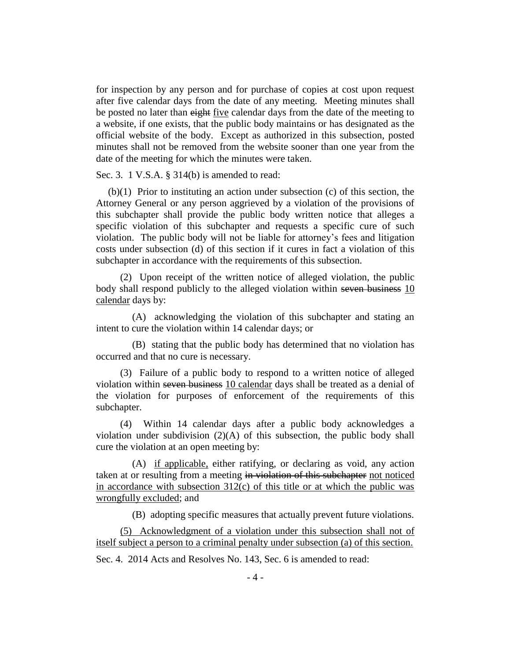for inspection by any person and for purchase of copies at cost upon request after five calendar days from the date of any meeting. Meeting minutes shall be posted no later than eight five calendar days from the date of the meeting to a website, if one exists, that the public body maintains or has designated as the official website of the body. Except as authorized in this subsection, posted minutes shall not be removed from the website sooner than one year from the date of the meeting for which the minutes were taken.

Sec. 3. 1 V.S.A. § 314(b) is amended to read:

(b)(1) Prior to instituting an action under subsection (c) of this section, the Attorney General or any person aggrieved by a violation of the provisions of this subchapter shall provide the public body written notice that alleges a specific violation of this subchapter and requests a specific cure of such violation. The public body will not be liable for attorney's fees and litigation costs under subsection (d) of this section if it cures in fact a violation of this subchapter in accordance with the requirements of this subsection.

(2) Upon receipt of the written notice of alleged violation, the public body shall respond publicly to the alleged violation within seven business 10 calendar days by:

(A) acknowledging the violation of this subchapter and stating an intent to cure the violation within 14 calendar days; or

(B) stating that the public body has determined that no violation has occurred and that no cure is necessary.

(3) Failure of a public body to respond to a written notice of alleged violation within seven business 10 calendar days shall be treated as a denial of the violation for purposes of enforcement of the requirements of this subchapter.

(4) Within 14 calendar days after a public body acknowledges a violation under subdivision  $(2)(A)$  of this subsection, the public body shall cure the violation at an open meeting by:

(A) if applicable, either ratifying, or declaring as void, any action taken at or resulting from a meeting in violation of this subchapter not noticed in accordance with subsection  $312(c)$  of this title or at which the public was wrongfully excluded; and

(B) adopting specific measures that actually prevent future violations.

(5) Acknowledgment of a violation under this subsection shall not of itself subject a person to a criminal penalty under subsection (a) of this section.

Sec. 4. 2014 Acts and Resolves No. 143, Sec. 6 is amended to read: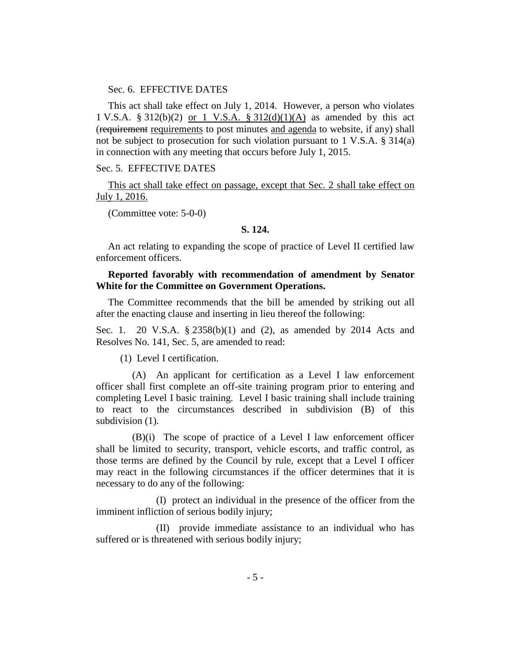#### Sec. 6. EFFECTIVE DATES

This act shall take effect on July 1, 2014. However, a person who violates 1 V.S.A. § 312(b)(2) or 1 V.S.A. § 312(d)(1)(A) as amended by this act (requirement requirements to post minutes and agenda to website, if any) shall not be subject to prosecution for such violation pursuant to 1 V.S.A. § 314(a) in connection with any meeting that occurs before July 1, 2015.

#### Sec. 5. EFFECTIVE DATES

This act shall take effect on passage, except that Sec. 2 shall take effect on July 1, 2016.

(Committee vote: 5-0-0)

# **S. 124.**

An act relating to expanding the scope of practice of Level II certified law enforcement officers.

# **Reported favorably with recommendation of amendment by Senator White for the Committee on Government Operations.**

The Committee recommends that the bill be amended by striking out all after the enacting clause and inserting in lieu thereof the following:

Sec. 1. 20 V.S.A. § 2358(b)(1) and (2), as amended by 2014 Acts and Resolves No. 141, Sec. 5, are amended to read:

(1) Level I certification.

(A) An applicant for certification as a Level I law enforcement officer shall first complete an off-site training program prior to entering and completing Level I basic training. Level I basic training shall include training to react to the circumstances described in subdivision (B) of this subdivision (1).

(B)(i) The scope of practice of a Level I law enforcement officer shall be limited to security, transport, vehicle escorts, and traffic control, as those terms are defined by the Council by rule, except that a Level I officer may react in the following circumstances if the officer determines that it is necessary to do any of the following:

(I) protect an individual in the presence of the officer from the imminent infliction of serious bodily injury;

(II) provide immediate assistance to an individual who has suffered or is threatened with serious bodily injury;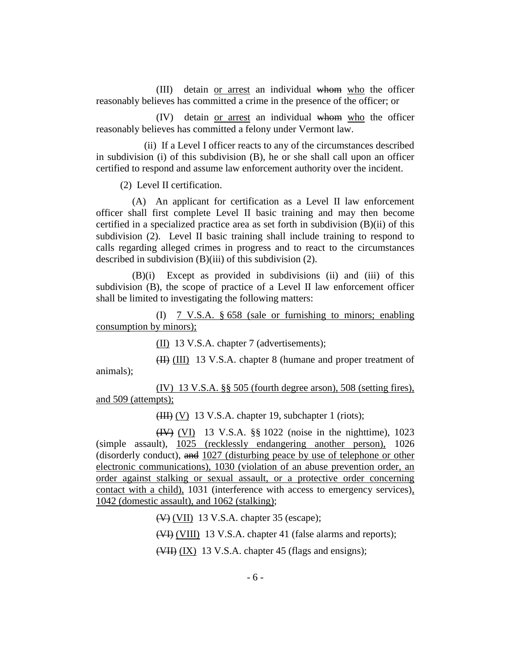(III) detain or arrest an individual whom who the officer reasonably believes has committed a crime in the presence of the officer; or

(IV) detain or arrest an individual whom who the officer reasonably believes has committed a felony under Vermont law.

(ii) If a Level I officer reacts to any of the circumstances described in subdivision (i) of this subdivision (B), he or she shall call upon an officer certified to respond and assume law enforcement authority over the incident.

(2) Level II certification.

(A) An applicant for certification as a Level II law enforcement officer shall first complete Level II basic training and may then become certified in a specialized practice area as set forth in subdivision (B)(ii) of this subdivision (2). Level II basic training shall include training to respond to calls regarding alleged crimes in progress and to react to the circumstances described in subdivision (B)(iii) of this subdivision (2).

(B)(i) Except as provided in subdivisions (ii) and (iii) of this subdivision (B), the scope of practice of a Level II law enforcement officer shall be limited to investigating the following matters:

(I) 7 V.S.A. § 658 (sale or furnishing to minors; enabling consumption by minors);

(II) 13 V.S.A. chapter 7 (advertisements);

(II) (III) 13 V.S.A. chapter 8 (humane and proper treatment of animals);

(IV) 13 V.S.A. §§ 505 (fourth degree arson), 508 (setting fires), and 509 (attempts);

(III) (V) 13 V.S.A. chapter 19, subchapter 1 (riots);

(IV) (VI) 13 V.S.A. §§ 1022 (noise in the nighttime), 1023 (simple assault), 1025 (recklessly endangering another person), 1026 (disorderly conduct), and 1027 (disturbing peace by use of telephone or other electronic communications), 1030 (violation of an abuse prevention order, an order against stalking or sexual assault, or a protective order concerning contact with a child), 1031 (interference with access to emergency services), 1042 (domestic assault), and 1062 (stalking);

(V) (VII) 13 V.S.A. chapter 35 (escape);

(VI) (VIII) 13 V.S.A. chapter 41 (false alarms and reports);

(VII) (IX) 13 V.S.A. chapter 45 (flags and ensigns);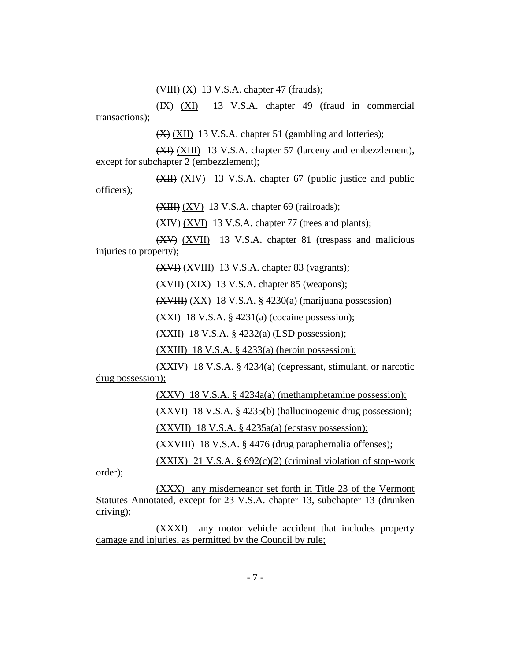$(\overline{\text{VIII}})$   $(\underline{X})$  13 V.S.A. chapter 47 (frauds);

(IX) (XI) 13 V.S.A. chapter 49 (fraud in commercial transactions);

(X) (XII) 13 V.S.A. chapter 51 (gambling and lotteries);

(XI) (XIII) 13 V.S.A. chapter 57 (larceny and embezzlement), except for subchapter 2 (embezzlement);

(XII) (XIV) 13 V.S.A. chapter 67 (public justice and public officers);

(XIII) (XV) 13 V.S.A. chapter 69 (railroads);

 $(XIV) (XVI)$  13 V.S.A. chapter 77 (trees and plants);

(XV) (XVII) 13 V.S.A. chapter 81 (trespass and malicious injuries to property);

(XVI) (XVIII) 13 V.S.A. chapter 83 (vagrants);

(XVII) (XIX) 13 V.S.A. chapter 85 (weapons);

(XVIII) (XX) 18 V.S.A. § 4230(a) (marijuana possession)

 $(XXI)$  18 V.S.A. § 4231(a) (cocaine possession);

(XXII) 18 V.S.A. § 4232(a) (LSD possession);

 $(XXIII)$  18 V.S.A. § 4233(a) (heroin possession);

(XXIV) 18 V.S.A. § 4234(a) (depressant, stimulant, or narcotic drug possession);

(XXV) 18 V.S.A. § 4234a(a) (methamphetamine possession);

(XXVI) 18 V.S.A. § 4235(b) (hallucinogenic drug possession);

(XXVII) 18 V.S.A. § 4235a(a) (ecstasy possession);

(XXVIII) 18 V.S.A. § 4476 (drug paraphernalia offenses);

(XXIX) 21 V.S.A.  $\S 692(c)(2)$  (criminal violation of stop-work

order);

(XXX) any misdemeanor set forth in Title 23 of the Vermont Statutes Annotated, except for 23 V.S.A. chapter 13, subchapter 13 (drunken driving);

(XXXI) any motor vehicle accident that includes property damage and injuries, as permitted by the Council by rule;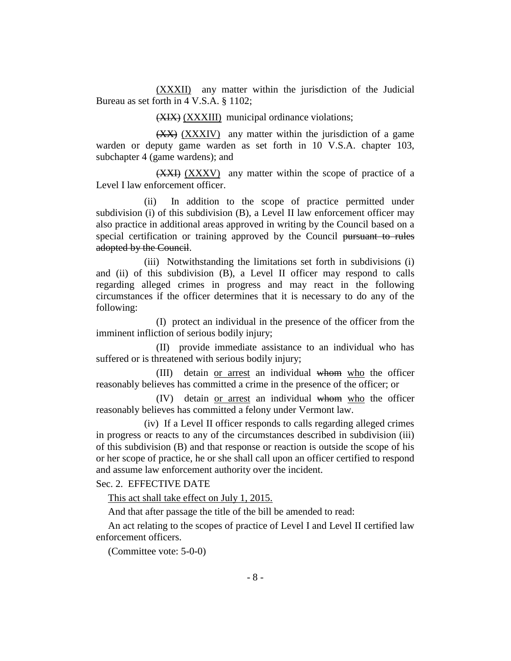(XXXII) any matter within the jurisdiction of the Judicial Bureau as set forth in 4 V.S.A. § 1102;

(XIX) (XXXIII) municipal ordinance violations;

(XX) (XXXIV) any matter within the jurisdiction of a game warden or deputy game warden as set forth in 10 V.S.A. chapter 103, subchapter 4 (game wardens); and

(XXI) (XXXV) any matter within the scope of practice of a Level I law enforcement officer.

(ii) In addition to the scope of practice permitted under subdivision (i) of this subdivision (B), a Level II law enforcement officer may also practice in additional areas approved in writing by the Council based on a special certification or training approved by the Council pursuant to rules adopted by the Council.

(iii) Notwithstanding the limitations set forth in subdivisions (i) and (ii) of this subdivision (B), a Level II officer may respond to calls regarding alleged crimes in progress and may react in the following circumstances if the officer determines that it is necessary to do any of the following:

(I) protect an individual in the presence of the officer from the imminent infliction of serious bodily injury;

(II) provide immediate assistance to an individual who has suffered or is threatened with serious bodily injury;

(III) detain or arrest an individual whom who the officer reasonably believes has committed a crime in the presence of the officer; or

(IV) detain or arrest an individual whom who the officer reasonably believes has committed a felony under Vermont law.

(iv) If a Level II officer responds to calls regarding alleged crimes in progress or reacts to any of the circumstances described in subdivision (iii) of this subdivision (B) and that response or reaction is outside the scope of his or her scope of practice, he or she shall call upon an officer certified to respond and assume law enforcement authority over the incident.

Sec. 2. EFFECTIVE DATE

This act shall take effect on July 1, 2015.

And that after passage the title of the bill be amended to read:

An act relating to the scopes of practice of Level I and Level II certified law enforcement officers.

(Committee vote: 5-0-0)